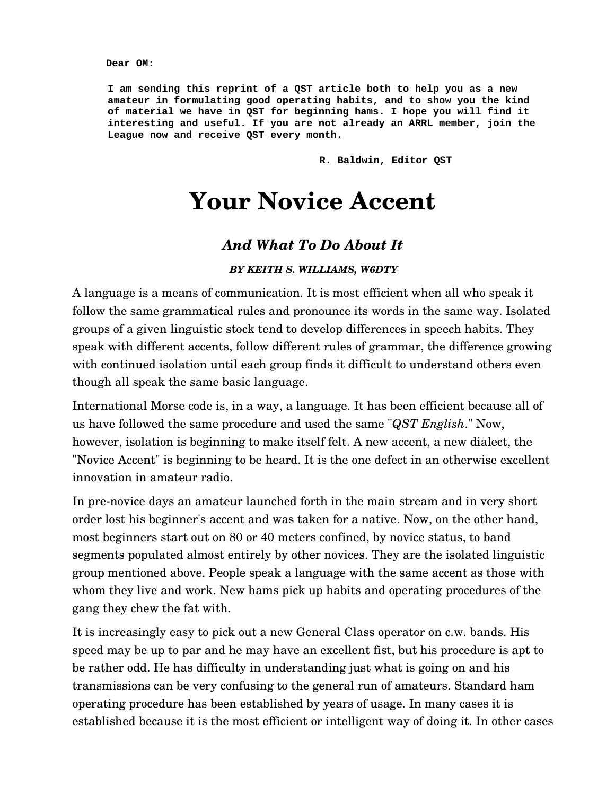**Dear OM:**

**I am sending this reprint of a QST article both to help you as a new amateur in formulating good operating habits, and to show you the kind of material we have in QST for beginning hams. I hope you will find it interesting and useful. If you are not already an ARRL member, join the League now and receive QST every month.**

**R. Baldwin, Editor QST**

# **Your Novice Accent**

# *And What To Do About It*

#### *BY KEITH S. WILLIAMS, W6DTY*

A language is a means of communication. It is most efficient when all who speak it follow the same grammatical rules and pronounce its words in the same way. Isolated groups of a given linguistic stock tend to develop differences in speech habits. They speak with different accents, follow different rules of grammar, the difference growing with continued isolation until each group finds it difficult to understand others even though all speak the same basic language.

International Morse code is, in a way, a language. It has been efficient because all of us have followed the same procedure and used the same "*QST English*." Now, however, isolation is beginning to make itself felt. A new accent, a new dialect, the "Novice Accent" is beginning to be heard. It is the one defect in an otherwise excellent innovation in amateur radio.

In pre-novice days an amateur launched forth in the main stream and in very short order lost his beginner's accent and was taken for a native. Now, on the other hand, most beginners start out on 80 or 40 meters confined, by novice status, to band segments populated almost entirely by other novices. They are the isolated linguistic group mentioned above. People speak a language with the same accent as those with whom they live and work. New hams pick up habits and operating procedures of the gang they chew the fat with.

It is increasingly easy to pick out a new General Class operator on c.w. bands. His speed may be up to par and he may have an excellent fist, but his procedure is apt to be rather odd. He has difficulty in understanding just what is going on and his transmissions can be very confusing to the general run of amateurs. Standard ham operating procedure has been established by years of usage. In many cases it is established because it is the most efficient or intelligent way of doing it. In other cases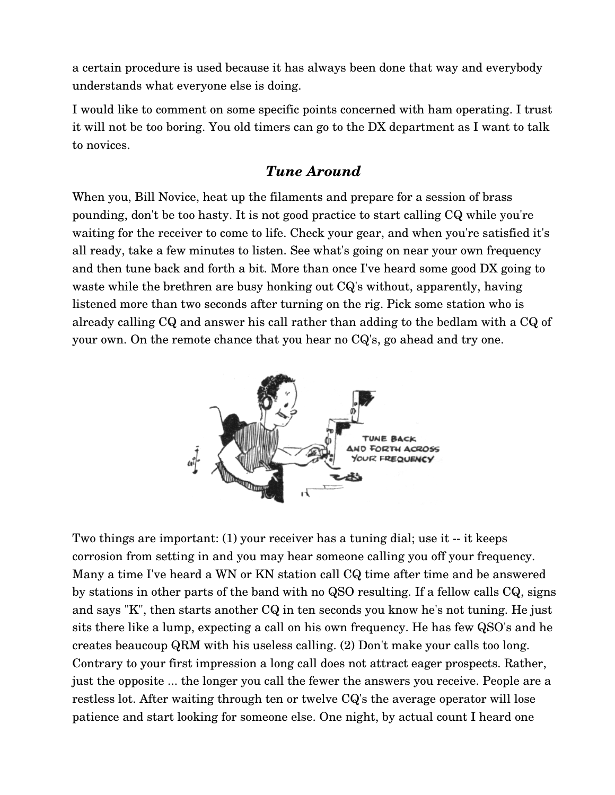a certain procedure is used because it has always been done that way and everybody understands what everyone else is doing.

I would like to comment on some specific points concerned with ham operating. I trust it will not be too boring. You old timers can go to the DX department as I want to talk to novices.

# *Tune Around*

When you, Bill Novice, heat up the filaments and prepare for a session of brass pounding, don't be too hasty. It is not good practice to start calling CQ while you're waiting for the receiver to come to life. Check your gear, and when you're satisfied it's all ready, take a few minutes to listen. See what's going on near your own frequency and then tune back and forth a bit. More than once I've heard some good DX going to waste while the brethren are busy honking out CQ's without, apparently, having listened more than two seconds after turning on the rig. Pick some station who is already calling CQ and answer his call rather than adding to the bedlam with a CQ of your own. On the remote chance that you hear no CQ's, go ahead and try one.



Two things are important:  $(1)$  your receiver has a tuning dial; use it  $-$  it keeps corrosion from setting in and you may hear someone calling you off your frequency. Many a time I've heard a WN or KN station call CQ time after time and be answered by stations in other parts of the band with no QSO resulting. If a fellow calls CQ, signs and says "K", then starts another CQ in ten seconds you know he's not tuning. He just sits there like a lump, expecting a call on his own frequency. He has few QSO's and he creates beaucoup QRM with his useless calling. (2) Don't make your calls too long. Contrary to your first impression a long call does not attract eager prospects. Rather, just the opposite ... the longer you call the fewer the answers you receive. People are a restless lot. After waiting through ten or twelve CQ's the average operator will lose patience and start looking for someone else. One night, by actual count I heard one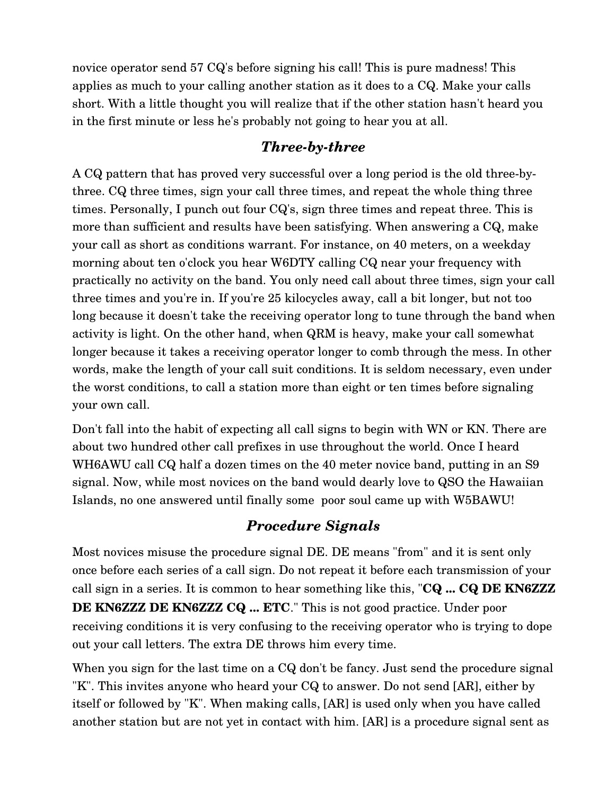novice operator send 57 CQ's before signing his call! This is pure madness! This applies as much to your calling another station as it does to a CQ. Make your calls short. With a little thought you will realize that if the other station hasn't heard you in the first minute or less he's probably not going to hear you at all.

# *Three-by-three*

A CQ pattern that has proved very successful over a long period is the old threebythree. CQ three times, sign your call three times, and repeat the whole thing three times. Personally, I punch out four CQ's, sign three times and repeat three. This is more than sufficient and results have been satisfying. When answering a CQ, make your call as short as conditions warrant. For instance, on 40 meters, on a weekday morning about ten o'clock you hear W6DTY calling CQ near your frequency with practically no activity on the band. You only need call about three times, sign your call three times and you're in. If you're 25 kilocycles away, call a bit longer, but not too long because it doesn't take the receiving operator long to tune through the band when activity is light. On the other hand, when QRM is heavy, make your call somewhat longer because it takes a receiving operator longer to comb through the mess. In other words, make the length of your call suit conditions. It is seldom necessary, even under the worst conditions, to call a station more than eight or ten times before signaling your own call.

Don't fall into the habit of expecting all call signs to begin with WN or KN. There are about two hundred other call prefixes in use throughout the world. Once I heard WH6AWU call CQ half a dozen times on the 40 meter novice band, putting in an S9 signal. Now, while most novices on the band would dearly love to QSO the Hawaiian Islands, no one answered until finally some poor soul came up with W5BAWU!

# *Procedure Signals*

Most novices misuse the procedure signal DE. DE means "from" and it is sent only once before each series of a call sign. Do not repeat it before each transmission of your call sign in a series. It is common to hear something like this, "**CQ ... CQ DE KN6ZZZ DE KN6ZZZ DE KN6ZZZ CQ ... ETC**." This is not good practice. Under poor receiving conditions it is very confusing to the receiving operator who is trying to dope out your call letters. The extra DE throws him every time.

When you sign for the last time on a CQ don't be fancy. Just send the procedure signal "K". This invites anyone who heard your CQ to answer. Do not send [AR], either by itself or followed by "K". When making calls, [AR] is used only when you have called another station but are not yet in contact with him. [AR] is a procedure signal sent as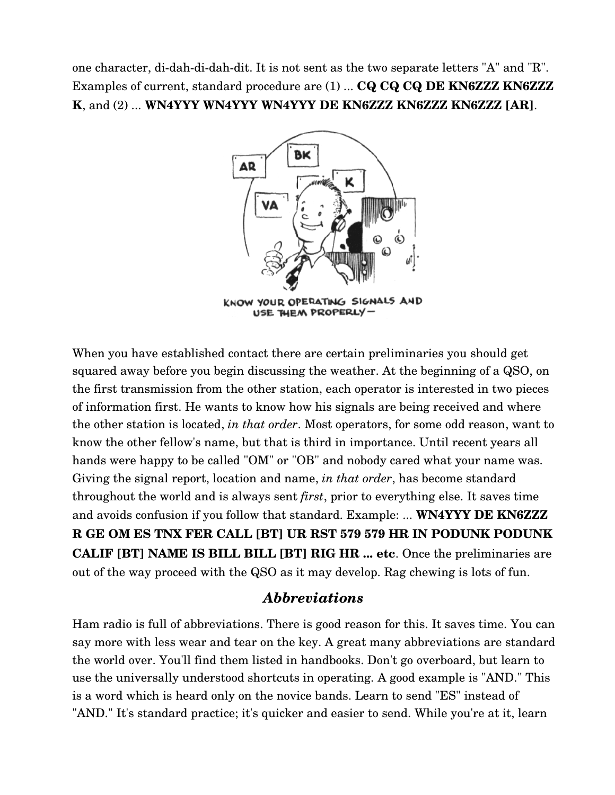one character, di-dah-di-dah-dit. It is not sent as the two separate letters "A" and "R". Examples of current, standard procedure are (1) ... **CQ CQ CQ DE KN6ZZZ KN6ZZZ K**, and (2) ... **WN4YYY WN4YYY WN4YYY DE KN6ZZZ KN6ZZZ KN6ZZZ [AR]**.



USE THEM PROPERLY-

When you have established contact there are certain preliminaries you should get squared away before you begin discussing the weather. At the beginning of a QSO, on the first transmission from the other station, each operator is interested in two pieces of information first. He wants to know how his signals are being received and where the other station is located, *in that order*. Most operators, for some odd reason, want to know the other fellow's name, but that is third in importance. Until recent years all hands were happy to be called "OM" or "OB" and nobody cared what your name was. Giving the signal report, location and name, *in that order*, has become standard throughout the world and is always sent *first*, prior to everything else. It saves time and avoids confusion if you follow that standard. Example: ... **WN4YYY DE KN6ZZZ R GE OM ES TNX FER CALL [BT] UR RST 579 579 HR IN PODUNK PODUNK CALIF [BT] NAME IS BILL BILL [BT] RIG HR ... etc**. Once the preliminaries are out of the way proceed with the QSO as it may develop. Rag chewing is lots of fun.

## *Abbreviations*

Ham radio is full of abbreviations. There is good reason for this. It saves time. You can say more with less wear and tear on the key. A great many abbreviations are standard the world over. You'll find them listed in handbooks. Don't go overboard, but learn to use the universally understood shortcuts in operating. A good example is "AND." This is a word which is heard only on the novice bands. Learn to send "ES" instead of "AND." It's standard practice; it's quicker and easier to send. While you're at it, learn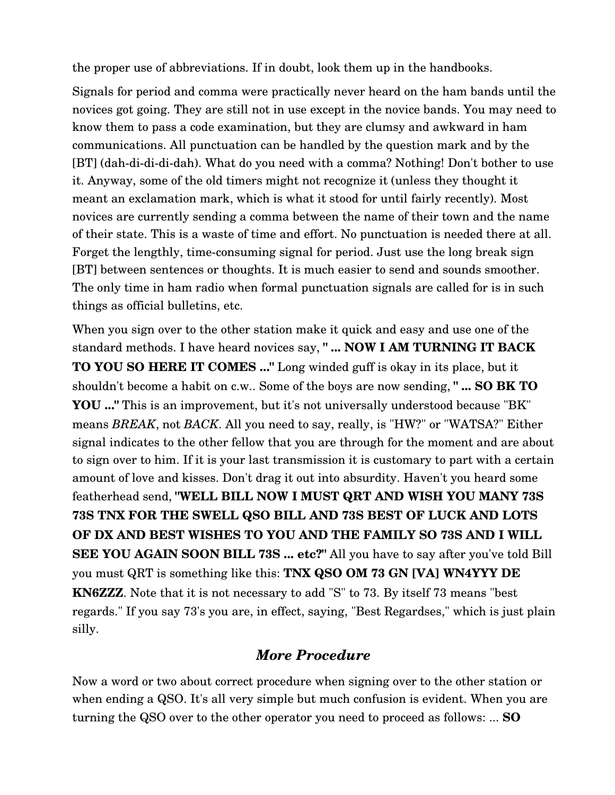the proper use of abbreviations. If in doubt, look them up in the handbooks.

Signals for period and comma were practically never heard on the ham bands until the novices got going. They are still not in use except in the novice bands. You may need to know them to pass a code examination, but they are clumsy and awkward in ham communications. All punctuation can be handled by the question mark and by the [BT] (dah-di-di-di-dah). What do you need with a comma? Nothing! Don't bother to use it. Anyway, some of the old timers might not recognize it (unless they thought it meant an exclamation mark, which is what it stood for until fairly recently). Most novices are currently sending a comma between the name of their town and the name of their state. This is a waste of time and effort. No punctuation is needed there at all. Forget the lengthly, time-consuming signal for period. Just use the long break sign [BT] between sentences or thoughts. It is much easier to send and sounds smoother. The only time in ham radio when formal punctuation signals are called for is in such things as official bulletins, etc.

When you sign over to the other station make it quick and easy and use one of the standard methods. I have heard novices say, **" ... NOW I AM TURNING IT BACK TO YOU SO HERE IT COMES ..."** Long winded guff is okay in its place, but it shouldn't become a habit on c.w.. Some of the boys are now sending, **" ... SO BK TO YOU ..."** This is an improvement, but it's not universally understood because "BK" means *BREAK*, not *BACK*. All you need to say, really, is "HW?" or "WATSA?" Either signal indicates to the other fellow that you are through for the moment and are about to sign over to him. If it is your last transmission it is customary to part with a certain amount of love and kisses. Don't drag it out into absurdity. Haven't you heard some featherhead send, **"WELL BILL NOW I MUST QRT AND WISH YOU MANY 73S 73S TNX FOR THE SWELL QSO BILL AND 73S BEST OF LUCK AND LOTS OF DX AND BEST WISHES TO YOU AND THE FAMILY SO 73S AND I WILL SEE YOU AGAIN SOON BILL 73S ... etc?"** All you have to say after you've told Bill you must QRT is something like this: **TNX QSO OM 73 GN [VA] WN4YYY DE KN6ZZZ**. Note that it is not necessary to add "S" to 73. By itself 73 means "best regards." If you say 73's you are, in effect, saying, "Best Regardses," which is just plain silly.

## *More Procedure*

Now a word or two about correct procedure when signing over to the other station or when ending a QSO. It's all very simple but much confusion is evident. When you are turning the QSO over to the other operator you need to proceed as follows: ... **SO**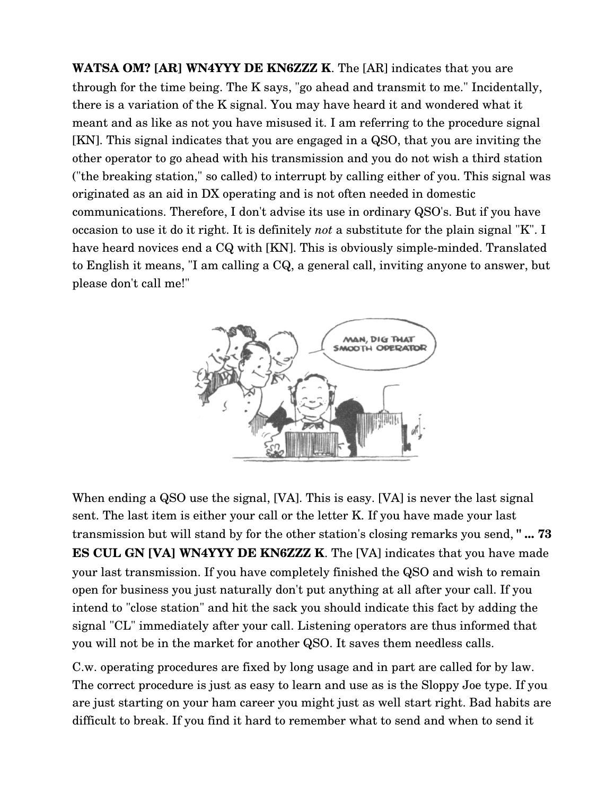**WATSA OM? [AR] WN4YYY DE KN6ZZZ K**. The [AR] indicates that you are through for the time being. The K says, "go ahead and transmit to me." Incidentally, there is a variation of the K signal. You may have heard it and wondered what it meant and as like as not you have misused it. I am referring to the procedure signal [KN]. This signal indicates that you are engaged in a QSO, that you are inviting the other operator to go ahead with his transmission and you do not wish a third station ("the breaking station," so called) to interrupt by calling either of you. This signal was originated as an aid in DX operating and is not often needed in domestic communications. Therefore, I don't advise its use in ordinary QSO's. But if you have occasion to use it do it right. It is definitely *not* a substitute for the plain signal "K". I have heard novices end a CQ with [KN]. This is obviously simple-minded. Translated to English it means, "I am calling a CQ, a general call, inviting anyone to answer, but please don't call me!"



When ending a QSO use the signal, [VA]. This is easy. [VA] is never the last signal sent. The last item is either your call or the letter K. If you have made your last transmission but will stand by for the other station's closing remarks you send, **" ... 73 ES CUL GN [VA] WN4YYY DE KN6ZZZ K**. The [VA] indicates that you have made your last transmission. If you have completely finished the QSO and wish to remain open for business you just naturally don't put anything at all after your call. If you intend to "close station" and hit the sack you should indicate this fact by adding the signal "CL" immediately after your call. Listening operators are thus informed that you will not be in the market for another QSO. It saves them needless calls.

C.w. operating procedures are fixed by long usage and in part are called for by law. The correct procedure is just as easy to learn and use as is the Sloppy Joe type. If you are just starting on your ham career you might just as well start right. Bad habits are difficult to break. If you find it hard to remember what to send and when to send it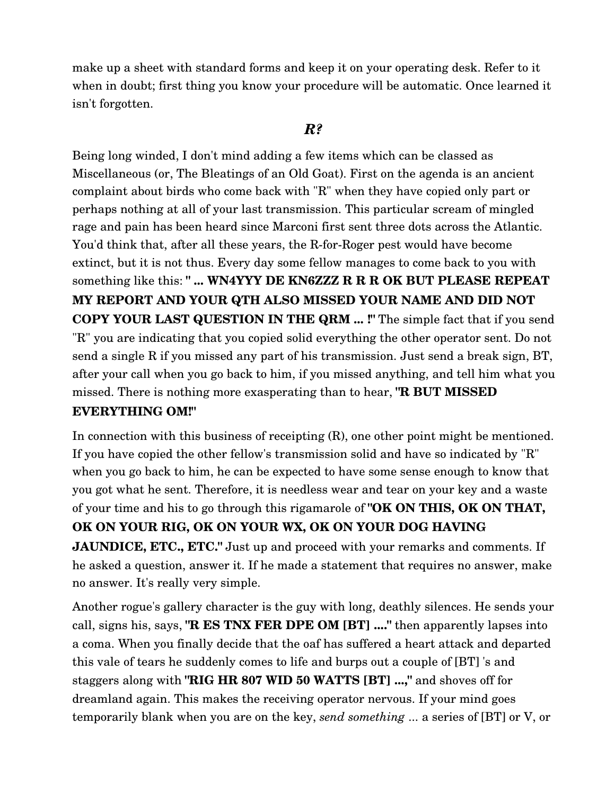make up a sheet with standard forms and keep it on your operating desk. Refer to it when in doubt; first thing you know your procedure will be automatic. Once learned it isn't forgotten.

### *R?*

Being long winded, I don't mind adding a few items which can be classed as Miscellaneous (or, The Bleatings of an Old Goat). First on the agenda is an ancient complaint about birds who come back with "R" when they have copied only part or perhaps nothing at all of your last transmission. This particular scream of mingled rage and pain has been heard since Marconi first sent three dots across the Atlantic. You'd think that, after all these years, the R-for-Roger pest would have become extinct, but it is not thus. Every day some fellow manages to come back to you with something like this: **" ... WN4YYY DE KN6ZZZ R R R OK BUT PLEASE REPEAT MY REPORT AND YOUR QTH ALSO MISSED YOUR NAME AND DID NOT COPY YOUR LAST QUESTION IN THE QRM ... !"** The simple fact that if you send "R" you are indicating that you copied solid everything the other operator sent. Do not send a single R if you missed any part of his transmission. Just send a break sign, BT, after your call when you go back to him, if you missed anything, and tell him what you missed. There is nothing more exasperating than to hear, **"R BUT MISSED**

#### **EVERYTHING OM!"**

In connection with this business of receipting  $(R)$ , one other point might be mentioned. If you have copied the other fellow's transmission solid and have so indicated by "R" when you go back to him, he can be expected to have some sense enough to know that you got what he sent. Therefore, it is needless wear and tear on your key and a waste of your time and his to go through this rigamarole of **"OK ON THIS, OK ON THAT, OK ON YOUR RIG, OK ON YOUR WX, OK ON YOUR DOG HAVING JAUNDICE, ETC., ETC."** Just up and proceed with your remarks and comments. If he asked a question, answer it. If he made a statement that requires no answer, make no answer. It's really very simple.

Another rogue's gallery character is the guy with long, deathly silences. He sends your call, signs his, says, **"R ES TNX FER DPE OM [BT] ...."** then apparently lapses into a coma. When you finally decide that the oaf has suffered a heart attack and departed this vale of tears he suddenly comes to life and burps out a couple of [BT] 's and staggers along with **"RIG HR 807 WID 50 WATTS [BT] ...,"** and shoves off for dreamland again. This makes the receiving operator nervous. If your mind goes temporarily blank when you are on the key, *send something* ... a series of [BT] or V, or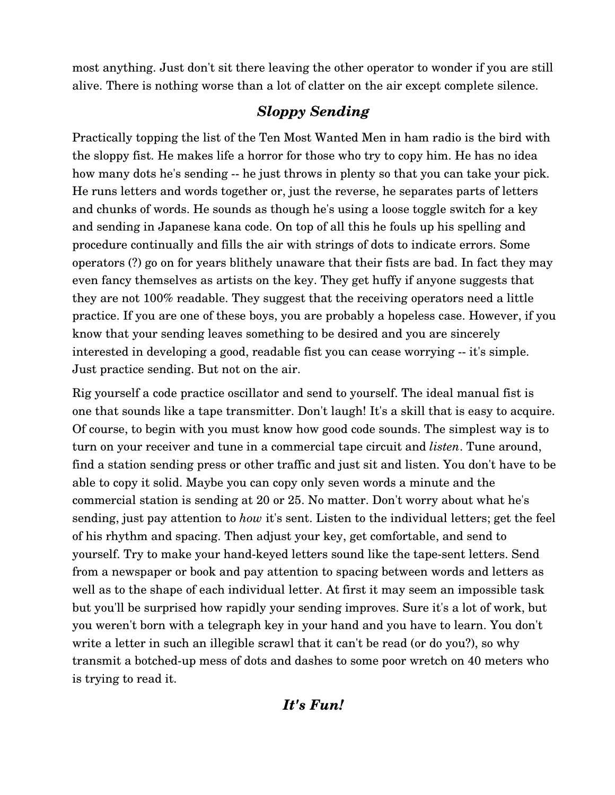most anything. Just don't sit there leaving the other operator to wonder if you are still alive. There is nothing worse than a lot of clatter on the air except complete silence.

# *Sloppy Sending*

Practically topping the list of the Ten Most Wanted Men in ham radio is the bird with the sloppy fist. He makes life a horror for those who try to copy him. He has no idea how many dots he's sending -- he just throws in plenty so that you can take your pick. He runs letters and words together or, just the reverse, he separates parts of letters and chunks of words. He sounds as though he's using a loose toggle switch for a key and sending in Japanese kana code. On top of all this he fouls up his spelling and procedure continually and fills the air with strings of dots to indicate errors. Some operators (?) go on for years blithely unaware that their fists are bad. In fact they may even fancy themselves as artists on the key. They get huffy if anyone suggests that they are not 100% readable. They suggest that the receiving operators need a little practice. If you are one of these boys, you are probably a hopeless case. However, if you know that your sending leaves something to be desired and you are sincerely interested in developing a good, readable fist you can cease worrying -- it's simple. Just practice sending. But not on the air.

Rig yourself a code practice oscillator and send to yourself. The ideal manual fist is one that sounds like a tape transmitter. Don't laugh! It's a skill that is easy to acquire. Of course, to begin with you must know how good code sounds. The simplest way is to turn on your receiver and tune in a commercial tape circuit and *listen*. Tune around, find a station sending press or other traffic and just sit and listen. You don't have to be able to copy it solid. Maybe you can copy only seven words a minute and the commercial station is sending at 20 or 25. No matter. Don't worry about what he's sending, just pay attention to *how* it's sent. Listen to the individual letters; get the feel of his rhythm and spacing. Then adjust your key, get comfortable, and send to yourself. Try to make your hand-keyed letters sound like the tape-sent letters. Send from a newspaper or book and pay attention to spacing between words and letters as well as to the shape of each individual letter. At first it may seem an impossible task but you'll be surprised how rapidly your sending improves. Sure it's a lot of work, but you weren't born with a telegraph key in your hand and you have to learn. You don't write a letter in such an illegible scrawl that it can't be read (or do you?), so why transmit a botched-up mess of dots and dashes to some poor wretch on 40 meters who is trying to read it.

# *It's Fun!*